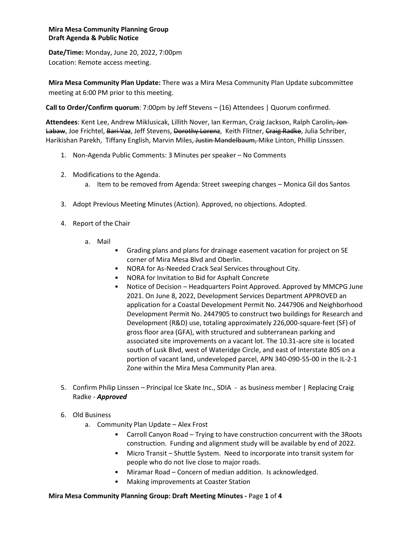## **Mira Mesa Community Planning Group Draft Agenda & Public Notice**

**Date/Time:** Monday, June 20, 2022, 7:00pm Location: Remote access meeting.

**Mira Mesa Community Plan Update:** There was a Mira Mesa Community Plan Update subcommittee meeting at 6:00 PM prior to this meeting.

**Call to Order/Confirm quorum**: 7:00pm by Jeff Stevens – (16) Attendees | Quorum confirmed.

**Attendees**: Kent Lee, Andrew Miklusicak, Lillith Nover, Ian Kerman, Craig Jackson, Ralph Carolin, Jon Labaw, Joe Frichtel, Bari Vaz, Jeff Stevens, Dorothy Lorenz, Keith Flitner, Craig Radke, Julia Schriber, Harikishan Parekh, Tiffany English, Marvin Miles, Justin Mandelbaum, Mike Linton, Phillip Linsssen.

- 1. Non-Agenda Public Comments: 3 Minutes per speaker No Comments
- 2. Modifications to the Agenda.
	- a. Item to be removed from Agenda: Street sweeping changes Monica Gil dos Santos
- 3. Adopt Previous Meeting Minutes (Action). Approved, no objections. Adopted.
- 4. Report of the Chair
	- a. Mail
		- Grading plans and plans for drainage easement vacation for project on SE corner of Mira Mesa Blvd and Oberlin.
		- NORA for As-Needed Crack Seal Services throughout City.
		- NORA for Invitation to Bid for Asphalt Concrete
		- Notice of Decision Headquarters Point Approved. Approved by MMCPG June 2021. On June 8, 2022, Development Services Department APPROVED an application for a Coastal Development Permit No. 2447906 and Neighborhood Development Permit No. 2447905 to construct two buildings for Research and Development (R&D) use, totaling approximately 226,000-square-feet (SF) of gross floor area (GFA), with structured and subterranean parking and associated site improvements on a vacant lot. The 10.31-acre site is located south of Lusk Blvd, west of Wateridge Circle, and east of Interstate 805 on a portion of vacant land, undeveloped parcel, APN 340-090-55-00 in the IL-2-1 Zone within the Mira Mesa Community Plan area.
- 5. Confirm Philip Linssen Principal Ice Skate Inc., SDIA as business member | Replacing Craig Radke - *Approved*
- 6. Old Business
	- a. Community Plan Update Alex Frost
		- Carroll Canyon Road Trying to have construction concurrent with the 3Roots construction. Funding and alignment study will be available by end of 2022.
		- Micro Transit Shuttle System. Need to incorporate into transit system for people who do not live close to major roads.
		- Miramar Road Concern of median addition. Is acknowledged.
		- Making improvements at Coaster Station

## **Mira Mesa Community Planning Group: Draft Meeting Minutes -** Page **1** of **4**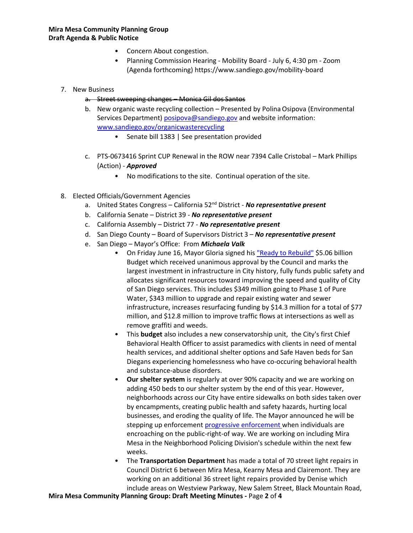- Concern About congestion.
- Planning Commission Hearing Mobility Board July 6, 4:30 pm Zoom (Agenda forthcoming) https://www.sandiego.gov/mobility-board
- 7. New Business
	- a. Street sweeping changes Monica Gil dos Santos
	- b. New organic waste recycling collection Presented by Polina Osipova (Environmental Services Department) [posipova@sandiego.gov](mailto:posipova@sandiego.gov) and website information: [www.sandiego.gov/organicwasterecycling](http://www.sandiego.gov/organicwasterecycling)
		- Senate bill 1383 | See presentation provided
	- c. PTS-0673416 Sprint CUP Renewal in the ROW near 7394 Calle Cristobal Mark Phillips (Action) - *Approved*
		- No modifications to the site. Continual operation of the site.
- 8. Elected Officials/Government Agencies
	- a. United States Congress California 52nd District *No representative present*
	- b. California Senate District 39 *No representative present*
	- c. California Assembly District 77 *No representative present*
	- d. San Diego County Board of Supervisors District 3 *No representative present*
	- e. San Diego Mayor's Office: From *Michaela Valk* 
		- On Friday June 16, Mayor Gloria signed his ["Ready to Rebuild"](https://www.sandiego.gov/mayor/mayor-gloria-signs-ready-rebuild-budget) \$5.06 billion Budget which received unanimous approval by the Council and marks the largest investment in infrastructure in City history, fully funds public safety and allocates significant resources toward improving the speed and quality of City of San Diego services. This includes \$349 million going to Phase 1 of Pure Water, \$343 million to upgrade and repair existing water and sewer infrastructure, increases resurfacing funding by \$14.3 million for a total of \$77 million, and \$12.8 million to improve traffic flows at intersections as well as remove graffiti and weeds.
		- This **budget** also includes a new conservatorship unit, the City's first Chief Behavioral Health Officer to assist paramedics with clients in need of mental health services, and additional shelter options and Safe Haven beds for San Diegans experiencing homelessness who have co-occuring behavioral health and substance-abuse disorders.
		- **Our shelter system** is regularly at over 90% capacity and we are working on adding 450 beds to our shelter system by the end of this year. However, neighborhoods across our City have entire sidewalks on both sides taken over by encampments, creating public health and safety hazards, hurting local businesses, and eroding the quality of life. The Mayor announced he will be stepping up enforcemen[t progressive enforcement w](https://www.sandiego.gov/insidesd/city-addressing-encampments-imposing-public-right-way)hen individuals are encroaching on the public-right-of way. We are working on including Mira Mesa in the Neighborhood Policing Division's schedule within the next few weeks.
		- The **Transportation Department** has made a total of 70 street light repairs in Council District 6 between Mira Mesa, Kearny Mesa and Clairemont. They are working on an additional 36 street light repairs provided by Denise which include areas on Westview Parkway, New Salem Street, Black Mountain Road,

**Mira Mesa Community Planning Group: Draft Meeting Minutes -** Page **2** of **4**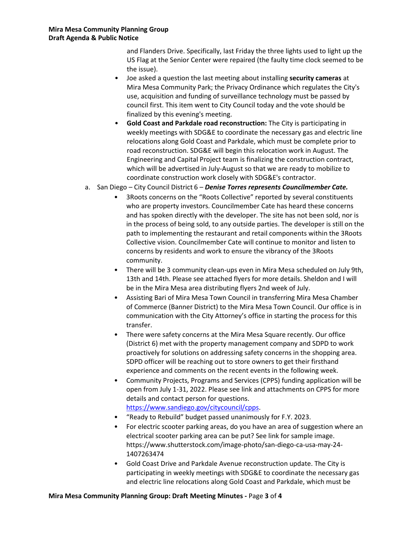and Flanders Drive. Specifically, last Friday the three lights used to light up the US Flag at the Senior Center were repaired (the faulty time clock seemed to be the issue).

- Joe asked a question the last meeting about installing **security cameras** at Mira Mesa Community Park; the Privacy Ordinance which regulates the City's use, acquisition and funding of surveillance technology must be passed by council first. This item went to City Council today and the vote should be finalized by this evening's meeting.
- **Gold Coast and Parkdale road reconstruction:** The City is participating in weekly meetings with SDG&E to coordinate the necessary gas and electric line relocations along Gold Coast and Parkdale, which must be complete prior to road reconstruction. SDG&E will begin this relocation work in August. The Engineering and Capital Project team is finalizing the construction contract, which will be advertised in July-August so that we are ready to mobilize to coordinate construction work closely with SDG&E's contractor.
- a. San Diego City Council District 6 *Denise Torres represents Councilmember Cate.*
	- 3Roots concerns on the "Roots Collective" reported by several constituents who are property investors. Councilmember Cate has heard these concerns and has spoken directly with the developer. The site has not been sold, nor is in the process of being sold, to any outside parties. The developer is still on the path to implementing the restaurant and retail components within the 3Roots Collective vision. Councilmember Cate will continue to monitor and listen to concerns by residents and work to ensure the vibrancy of the 3Roots community.
	- There will be 3 community clean-ups even in Mira Mesa scheduled on July 9th, 13th and 14th. Please see attached flyers for more details. Sheldon and I will be in the Mira Mesa area distributing flyers 2nd week of July.
	- Assisting Bari of Mira Mesa Town Council in transferring Mira Mesa Chamber of Commerce (Banner District) to the Mira Mesa Town Council. Our office is in communication with the City Attorney's office in starting the process for this transfer.
	- There were safety concerns at the Mira Mesa Square recently. Our office (District 6) met with the property management company and SDPD to work proactively for solutions on addressing safety concerns in the shopping area. SDPD officer will be reaching out to store owners to get their firsthand experience and comments on the recent events in the following week.
	- Community Projects, Programs and Services (CPPS) funding application will be open from July 1-31, 2022. Please see link and attachments on CPPS for more details and contact person for questions. [https://www.sandiego.gov/citycouncil/cpps.](https://www.sandiego.gov/citycouncil/cpps)
	- "Ready to Rebuild" budget passed unanimously for F.Y. 2023.
	- For electric scooter parking areas, do you have an area of suggestion where an electrical scooter parking area can be put? See link for sample image. https://www.shutterstock.com/image-photo/san-diego-ca-usa-may-24- 1407263474
	- Gold Coast Drive and Parkdale Avenue reconstruction update. The City is participating in weekly meetings with SDG&E to coordinate the necessary gas and electric line relocations along Gold Coast and Parkdale, which must be

## **Mira Mesa Community Planning Group: Draft Meeting Minutes -** Page **3** of **4**